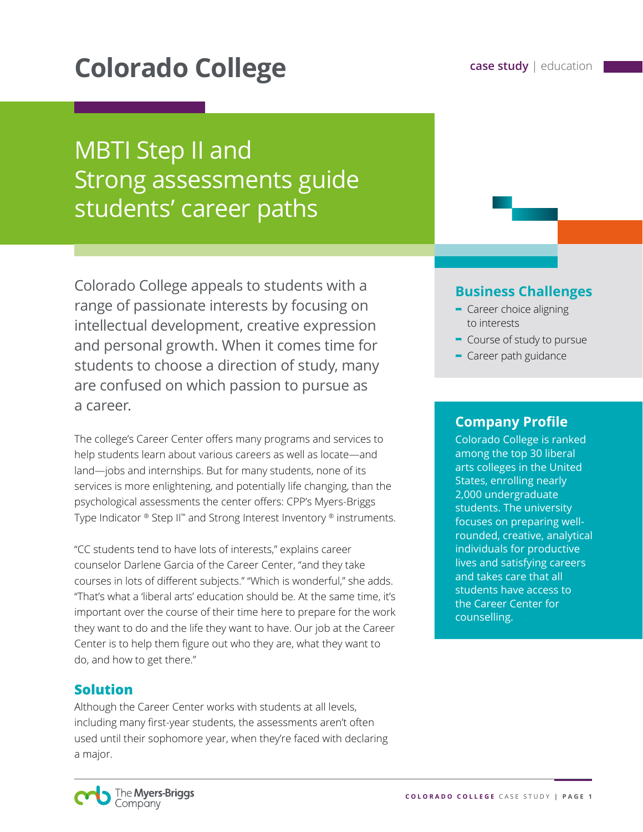# **Colorado College case study** | education

## **MBTI Step II and** Strong assessments guide students' career paths

Colorado College appeals to students with a range of passionate interests by focusing on intellectual development, creative expression and personal growth. When it comes time for students to choose a direction of study, many are confused on which passion to pursue as a career.

The college's Career Center offers many programs and services to help students learn about various careers as well as locate—and land—jobs and internships. But for many students, none of its services is more enlightening, and potentially life changing, than the psychological assessments the center offers: CPP's Myers-Briggs Type Indicator ® Step II™ and Strong Interest Inventory ® instruments.

"CC students tend to have lots of interests," explains career counselor Darlene Garcia of the Career Center, "and they take courses in lots of different subjects." "Which is wonderful," she adds. "That's what a 'liberal arts' education should be. At the same time, it's important over the course of their time here to prepare for the work they want to do and the life they want to have. Our job at the Career Center is to help them figure out who they are, what they want to do, and how to get there."

#### **Solution**

Although the Career Center works with students at all levels, including many first-year students, the assessments aren't often used until their sophomore year, when they're faced with declaring a major.

#### **Business Challenges**

- **-** Career choice aligning to interests
- **-** Course of study to pursue
- **-** Career path guidance

#### **Company Profile**

Colorado College is ranked among the top 30 liberal arts colleges in the United States, enrolling nearly 2,000 undergraduate students. The university focuses on preparing wellrounded, creative, analytical individuals for productive lives and satisfying careers and takes care that all students have access to the Career Center for counselling.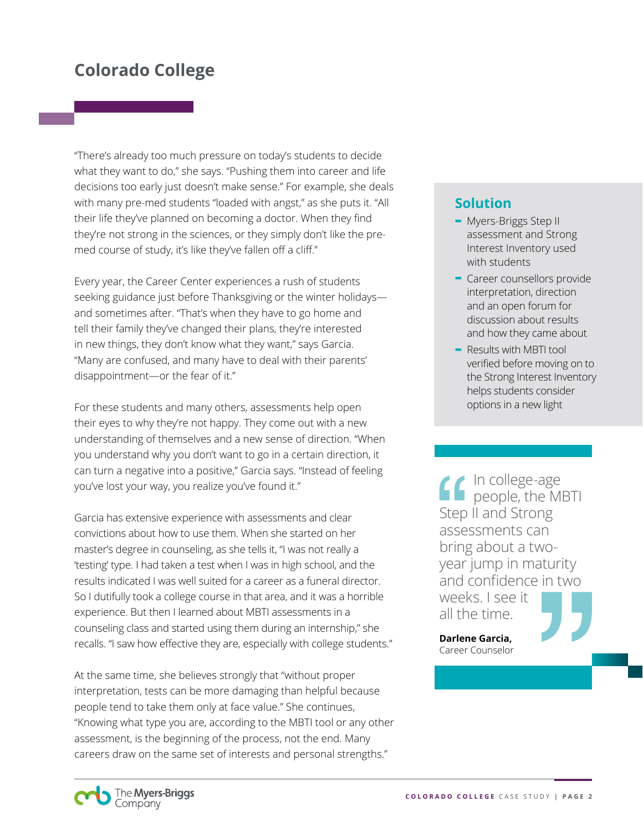### **Colorado College**

"There's already too much pressure on today's students to decide what they want to do," she says. "Pushing them into career and life decisions too early just doesn't make sense." For example, she deals with many pre-med students "loaded with angst," as she puts it. "All their life they've planned on becoming a doctor. When they find they're not strong in the sciences, or they simply don't like the premed course of study, it's like they've fallen off a cliff."

Every year, the Career Center experiences a rush of students seeking guidance just before Thanksgiving or the winter holidays and sometimes after. "That's when they have to go home and tell their family they've changed their plans, they're interested in new things, they don't know what they want," says Garcia. "Many are confused, and many have to deal with their parents' disappointment—or the fear of it."

For these students and many others, assessments help open their eyes to why they're not happy. They come out with a new understanding of themselves and a new sense of direction. "When you understand why you don't want to go in a certain direction, it can turn a negative into a positive," Garcia says. "Instead of feeling you've lost your way, you realize you've found it."

Garcia has extensive experience with assessments and clear convictions about how to use them. When she started on her master's degree in counseling, as she tells it, "I was not really a 'testing' type. I had taken a test when I was in high school, and the results indicated I was well suited for a career as a funeral director. So I dutifully took a college course in that area, and it was a horrible experience. But then I learned about MBTI assessments in a counseling class and started using them during an internship," she recalls. "I saw how effective they are, especially with college students."

At the same time, she believes strongly that "without proper interpretation, tests can be more damaging than helpful because people tend to take them only at face value." She continues, "Knowing what type you are, according to the MBTI tool or any other assessment, is the beginning of the process, not the end. Many careers draw on the same set of interests and personal strengths."

#### **Solution**

- **-** Myers-Briggs Step II assessment and Strong Interest Inventory used with students
- **-** Career counsellors provide interpretation, direction and an open forum for discussion about results and how they came about
- **-** Results with MBTI tool verified before moving on to the Strong Interest Inventory helps students consider options in a new light

In college-age people, the MBTI Step II and Strong assessments can bring about a twoyear jump in maturity and confidence in two weeks. I see it all the time.

**Darlene Garcia,** Career Counselor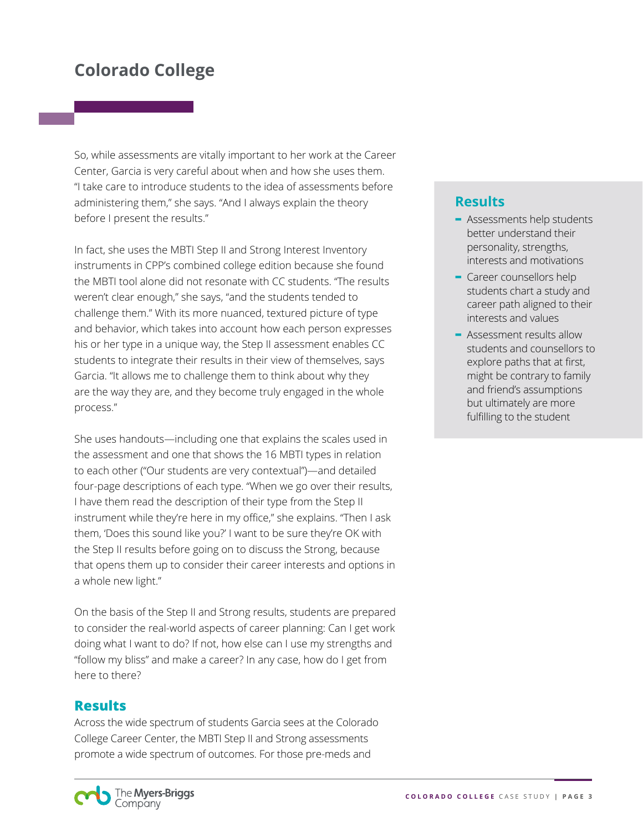## **Colorado College**

So, while assessments are vitally important to her work at the Career Center, Garcia is very careful about when and how she uses them. "I take care to introduce students to the idea of assessments before administering them," she says. "And I always explain the theory before I present the results."

In fact, she uses the MBTI Step II and Strong Interest Inventory instruments in CPP's combined college edition because she found the MBTI tool alone did not resonate with CC students. "The results weren't clear enough," she says, "and the students tended to challenge them." With its more nuanced, textured picture of type and behavior, which takes into account how each person expresses his or her type in a unique way, the Step II assessment enables CC students to integrate their results in their view of themselves, says Garcia. "It allows me to challenge them to think about why they are the way they are, and they become truly engaged in the whole process."

She uses handouts—including one that explains the scales used in the assessment and one that shows the 16 MBTI types in relation to each other ("Our students are very contextual")—and detailed four-page descriptions of each type. "When we go over their results, I have them read the description of their type from the Step II instrument while they're here in my office," she explains. "Then I ask them, 'Does this sound like you?' I want to be sure they're OK with the Step II results before going on to discuss the Strong, because that opens them up to consider their career interests and options in a whole new light."

On the basis of the Step II and Strong results, students are prepared to consider the real-world aspects of career planning: Can I get work doing what I want to do? If not, how else can I use my strengths and "follow my bliss" and make a career? In any case, how do I get from here to there?

#### **Results**

The Myers-Briggs Company

Across the wide spectrum of students Garcia sees at the Colorado College Career Center, the MBTI Step II and Strong assessments promote a wide spectrum of outcomes. For those pre-meds and

#### **Results**

- **-** Assessments help students better understand their personality, strengths, interests and motivations
- **-** Career counsellors help students chart a study and career path aligned to their interests and values
- **-** Assessment results allow students and counsellors to explore paths that at first, might be contrary to family and friend's assumptions but ultimately are more fulfilling to the student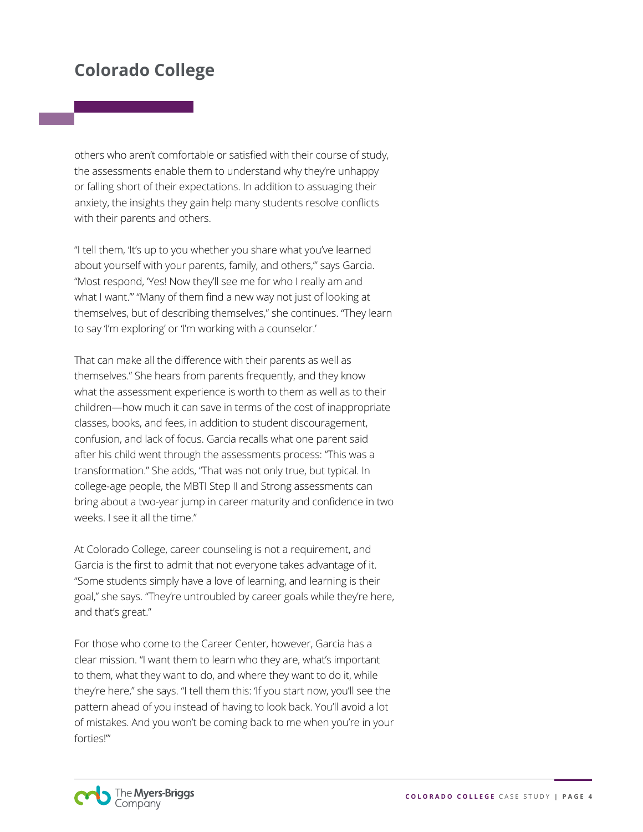## **Colorado College**

others who aren't comfortable or satisfied with their course of study, the assessments enable them to understand why they're unhappy or falling short of their expectations. In addition to assuaging their anxiety, the insights they gain help many students resolve conflicts with their parents and others.

"I tell them, 'It's up to you whether you share what you've learned about yourself with your parents, family, and others,"' says Garcia. "Most respond, 'Yes! Now they'll see me for who I really am and what I want.'" "Many of them find a new way not just of looking at themselves, but of describing themselves," she continues. "They learn to say 'I'm exploring' or 'I'm working with a counselor.'

That can make all the difference with their parents as well as themselves." She hears from parents frequently, and they know what the assessment experience is worth to them as well as to their children—how much it can save in terms of the cost of inappropriate classes, books, and fees, in addition to student discouragement, confusion, and lack of focus. Garcia recalls what one parent said after his child went through the assessments process: "This was a transformation." She adds, "That was not only true, but typical. In college-age people, the MBTI Step II and Strong assessments can bring about a two-year jump in career maturity and confidence in two weeks. I see it all the time."

At Colorado College, career counseling is not a requirement, and Garcia is the first to admit that not everyone takes advantage of it. "Some students simply have a love of learning, and learning is their goal," she says. "They're untroubled by career goals while they're here, and that's great."

For those who come to the Career Center, however, Garcia has a clear mission. "I want them to learn who they are, what's important to them, what they want to do, and where they want to do it, while they're here," she says. "I tell them this: 'If you start now, you'll see the pattern ahead of you instead of having to look back. You'll avoid a lot of mistakes. And you won't be coming back to me when you're in your forties!'"